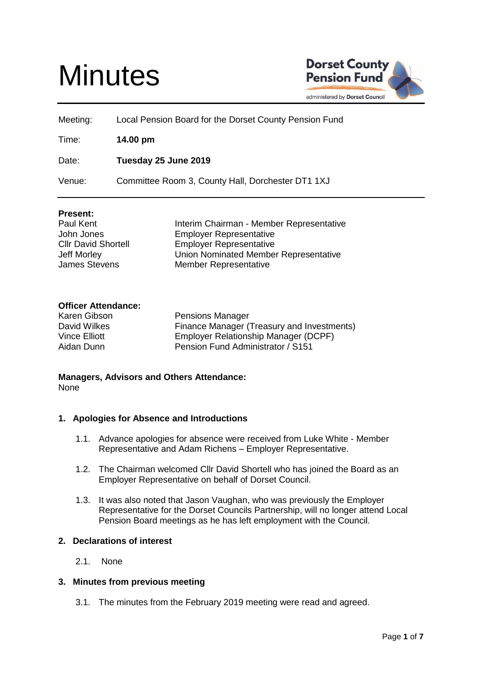# **Minutes**



| Meeting: | Local Pension Board for the Dorset County Pension Fund |
|----------|--------------------------------------------------------|
| Time:    | 14.00 pm                                               |
| Date:    | Tuesday 25 June 2019                                   |
| Venue:   | Committee Room 3, County Hall, Dorchester DT1 1XJ      |

# **Present:**

Paul Kent **Interim Chairman - Member Representative** John Jones Employer Representative Cllr David Shortell Employer Representative Jeff Morley Union Nominated Member Representative James Stevens Member Representative

# **Officer Attendance:**

Karen Gibson Pensions Manager David Wilkes Finance Manager (Treasury and Investments) Vince Elliott Employer Relationship Manager (DCPF) Aidan Dunn Pension Fund Administrator / S151

# **Managers, Advisors and Others Attendance:** None

# **1. Apologies for Absence and Introductions**

- 1.1. Advance apologies for absence were received from Luke White Member Representative and Adam Richens – Employer Representative.
- 1.2. The Chairman welcomed Cllr David Shortell who has joined the Board as an Employer Representative on behalf of Dorset Council.
- 1.3. It was also noted that Jason Vaughan, who was previously the Employer Representative for the Dorset Councils Partnership, will no longer attend Local Pension Board meetings as he has left employment with the Council.

#### **2. Declarations of interest**

2.1. None

#### **3. Minutes from previous meeting**

3.1. The minutes from the February 2019 meeting were read and agreed.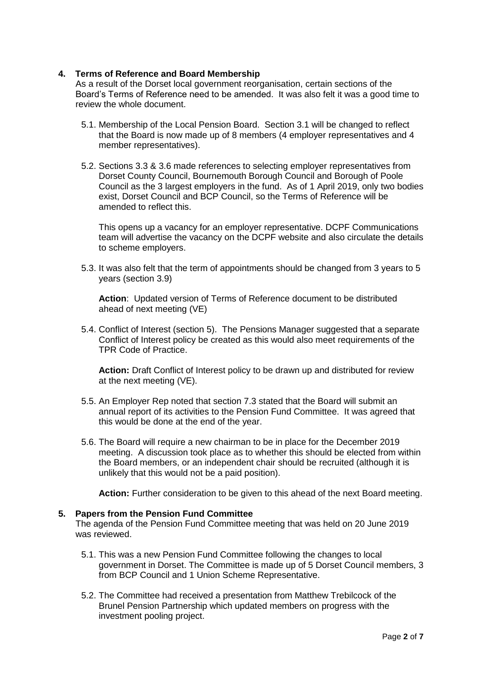# **4. Terms of Reference and Board Membership**

As a result of the Dorset local government reorganisation, certain sections of the Board's Terms of Reference need to be amended. It was also felt it was a good time to review the whole document.

- 5.1. Membership of the Local Pension Board. Section 3.1 will be changed to reflect that the Board is now made up of 8 members (4 employer representatives and 4 member representatives).
- 5.2. Sections 3.3 & 3.6 made references to selecting employer representatives from Dorset County Council, Bournemouth Borough Council and Borough of Poole Council as the 3 largest employers in the fund. As of 1 April 2019, only two bodies exist, Dorset Council and BCP Council, so the Terms of Reference will be amended to reflect this.

This opens up a vacancy for an employer representative. DCPF Communications team will advertise the vacancy on the DCPF website and also circulate the details to scheme employers.

5.3. It was also felt that the term of appointments should be changed from 3 years to 5 years (section 3.9)

**Action**: Updated version of Terms of Reference document to be distributed ahead of next meeting (VE)

5.4. Conflict of Interest (section 5). The Pensions Manager suggested that a separate Conflict of Interest policy be created as this would also meet requirements of the TPR Code of Practice.

**Action:** Draft Conflict of Interest policy to be drawn up and distributed for review at the next meeting (VE).

- 5.5. An Employer Rep noted that section 7.3 stated that the Board will submit an annual report of its activities to the Pension Fund Committee. It was agreed that this would be done at the end of the year.
- 5.6. The Board will require a new chairman to be in place for the December 2019 meeting. A discussion took place as to whether this should be elected from within the Board members, or an independent chair should be recruited (although it is unlikely that this would not be a paid position).

**Action:** Further consideration to be given to this ahead of the next Board meeting.

#### **5. Papers from the Pension Fund Committee**

The agenda of the Pension Fund Committee meeting that was held on 20 June 2019 was reviewed.

- 5.1. This was a new Pension Fund Committee following the changes to local government in Dorset. The Committee is made up of 5 Dorset Council members, 3 from BCP Council and 1 Union Scheme Representative.
- 5.2. The Committee had received a presentation from Matthew Trebilcock of the Brunel Pension Partnership which updated members on progress with the investment pooling project.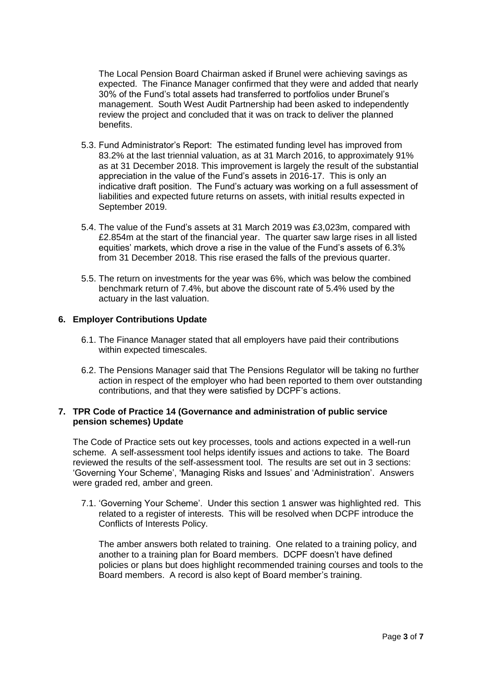The Local Pension Board Chairman asked if Brunel were achieving savings as expected. The Finance Manager confirmed that they were and added that nearly 30% of the Fund's total assets had transferred to portfolios under Brunel's management. South West Audit Partnership had been asked to independently review the project and concluded that it was on track to deliver the planned benefits.

- 5.3. Fund Administrator's Report: The estimated funding level has improved from 83.2% at the last triennial valuation, as at 31 March 2016, to approximately 91% as at 31 December 2018. This improvement is largely the result of the substantial appreciation in the value of the Fund's assets in 2016-17. This is only an indicative draft position. The Fund's actuary was working on a full assessment of liabilities and expected future returns on assets, with initial results expected in September 2019.
- 5.4. The value of the Fund's assets at 31 March 2019 was £3,023m, compared with £2.854m at the start of the financial year. The quarter saw large rises in all listed equities' markets, which drove a rise in the value of the Fund's assets of 6.3% from 31 December 2018. This rise erased the falls of the previous quarter.
- 5.5. The return on investments for the year was 6%, which was below the combined benchmark return of 7.4%, but above the discount rate of 5.4% used by the actuary in the last valuation.

# **6. Employer Contributions Update**

- 6.1. The Finance Manager stated that all employers have paid their contributions within expected timescales.
- 6.2. The Pensions Manager said that The Pensions Regulator will be taking no further action in respect of the employer who had been reported to them over outstanding contributions, and that they were satisfied by DCPF's actions.

## **7. TPR Code of Practice 14 (Governance and administration of public service pension schemes) Update**

The Code of Practice sets out key processes, tools and actions expected in a well-run scheme. A self-assessment tool helps identify issues and actions to take. The Board reviewed the results of the self-assessment tool. The results are set out in 3 sections: 'Governing Your Scheme', 'Managing Risks and Issues' and 'Administration'. Answers were graded red, amber and green.

7.1. 'Governing Your Scheme'. Under this section 1 answer was highlighted red. This related to a register of interests. This will be resolved when DCPF introduce the Conflicts of Interests Policy.

The amber answers both related to training. One related to a training policy, and another to a training plan for Board members. DCPF doesn't have defined policies or plans but does highlight recommended training courses and tools to the Board members. A record is also kept of Board member's training.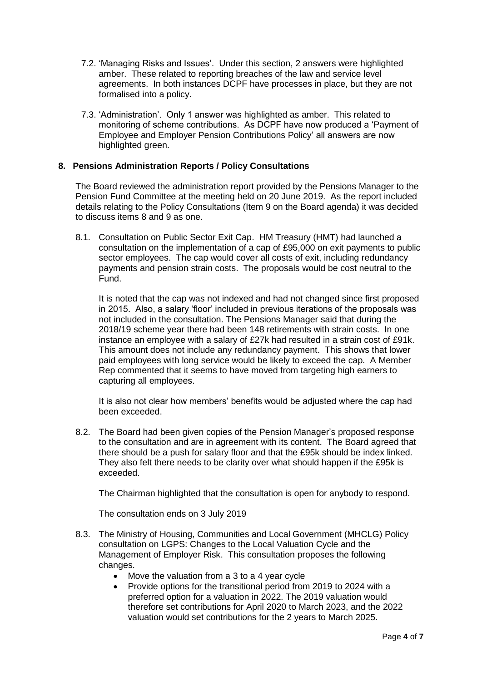- 7.2. 'Managing Risks and Issues'. Under this section, 2 answers were highlighted amber. These related to reporting breaches of the law and service level agreements. In both instances DCPF have processes in place, but they are not formalised into a policy.
- 7.3. 'Administration'. Only 1 answer was highlighted as amber. This related to monitoring of scheme contributions. As DCPF have now produced a 'Payment of Employee and Employer Pension Contributions Policy' all answers are now highlighted green.

# **8. Pensions Administration Reports / Policy Consultations**

The Board reviewed the administration report provided by the Pensions Manager to the Pension Fund Committee at the meeting held on 20 June 2019. As the report included details relating to the Policy Consultations (Item 9 on the Board agenda) it was decided to discuss items 8 and 9 as one.

8.1. Consultation on Public Sector Exit Cap. HM Treasury (HMT) had launched a consultation on the implementation of a cap of £95,000 on exit payments to public sector employees. The cap would cover all costs of exit, including redundancy payments and pension strain costs. The proposals would be cost neutral to the Fund.

It is noted that the cap was not indexed and had not changed since first proposed in 2015. Also, a salary 'floor' included in previous iterations of the proposals was not included in the consultation. The Pensions Manager said that during the 2018/19 scheme year there had been 148 retirements with strain costs. In one instance an employee with a salary of £27k had resulted in a strain cost of £91k. This amount does not include any redundancy payment. This shows that lower paid employees with long service would be likely to exceed the cap. A Member Rep commented that it seems to have moved from targeting high earners to capturing all employees.

It is also not clear how members' benefits would be adjusted where the cap had been exceeded.

8.2. The Board had been given copies of the Pension Manager's proposed response to the consultation and are in agreement with its content. The Board agreed that there should be a push for salary floor and that the £95k should be index linked. They also felt there needs to be clarity over what should happen if the £95k is exceeded.

The Chairman highlighted that the consultation is open for anybody to respond.

The consultation ends on 3 July 2019

- 8.3. The Ministry of Housing, Communities and Local Government (MHCLG) Policy consultation on LGPS: Changes to the Local Valuation Cycle and the Management of Employer Risk. This consultation proposes the following changes.
	- Move the valuation from a 3 to a 4 year cycle
	- Provide options for the transitional period from 2019 to 2024 with a preferred option for a valuation in 2022. The 2019 valuation would therefore set contributions for April 2020 to March 2023, and the 2022 valuation would set contributions for the 2 years to March 2025.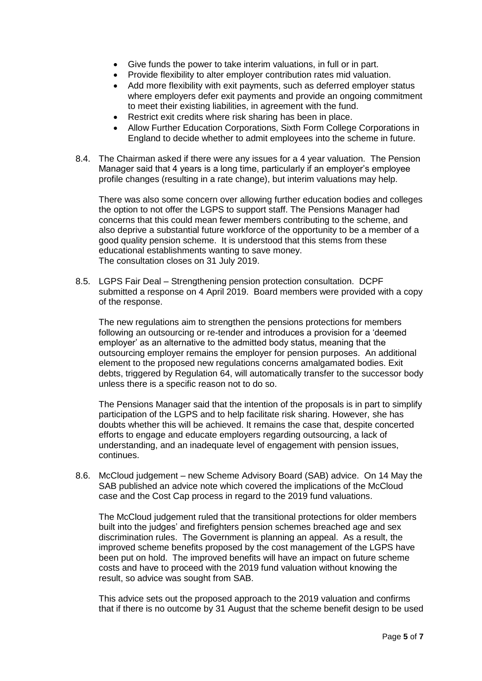- Give funds the power to take interim valuations, in full or in part.
- Provide flexibility to alter employer contribution rates mid valuation.
- Add more flexibility with exit payments, such as deferred employer status where employers defer exit payments and provide an ongoing commitment to meet their existing liabilities, in agreement with the fund.
- Restrict exit credits where risk sharing has been in place.
- Allow Further Education Corporations, Sixth Form College Corporations in England to decide whether to admit employees into the scheme in future.
- 8.4. The Chairman asked if there were any issues for a 4 year valuation. The Pension Manager said that 4 years is a long time, particularly if an employer's employee profile changes (resulting in a rate change), but interim valuations may help.

There was also some concern over allowing further education bodies and colleges the option to not offer the LGPS to support staff. The Pensions Manager had concerns that this could mean fewer members contributing to the scheme, and also deprive a substantial future workforce of the opportunity to be a member of a good quality pension scheme. It is understood that this stems from these educational establishments wanting to save money. The consultation closes on 31 July 2019.

8.5. LGPS Fair Deal – Strengthening pension protection consultation. DCPF submitted a response on 4 April 2019. Board members were provided with a copy of the response.

The new regulations aim to strengthen the pensions protections for members following an outsourcing or re-tender and introduces a provision for a 'deemed employer' as an alternative to the admitted body status, meaning that the outsourcing employer remains the employer for pension purposes. An additional element to the proposed new regulations concerns amalgamated bodies. Exit debts, triggered by Regulation 64, will automatically transfer to the successor body unless there is a specific reason not to do so.

The Pensions Manager said that the intention of the proposals is in part to simplify participation of the LGPS and to help facilitate risk sharing. However, she has doubts whether this will be achieved. It remains the case that, despite concerted efforts to engage and educate employers regarding outsourcing, a lack of understanding, and an inadequate level of engagement with pension issues, continues.

8.6. McCloud judgement – new Scheme Advisory Board (SAB) advice. On 14 May the SAB published an advice note which covered the implications of the McCloud case and the Cost Cap process in regard to the 2019 fund valuations.

The McCloud judgement ruled that the transitional protections for older members built into the judges' and firefighters pension schemes breached age and sex discrimination rules. The Government is planning an appeal. As a result, the improved scheme benefits proposed by the cost management of the LGPS have been put on hold. The improved benefits will have an impact on future scheme costs and have to proceed with the 2019 fund valuation without knowing the result, so advice was sought from SAB.

This advice sets out the proposed approach to the 2019 valuation and confirms that if there is no outcome by 31 August that the scheme benefit design to be used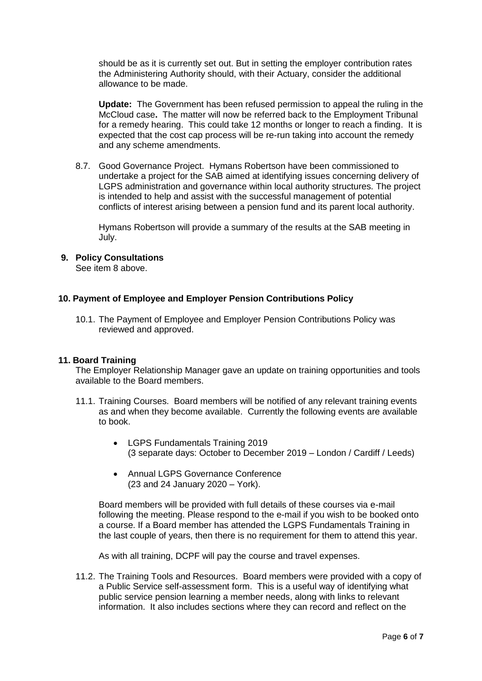should be as it is currently set out. But in setting the employer contribution rates the Administering Authority should, with their Actuary, consider the additional allowance to be made.

**Update:** The Government has been refused permission to appeal the ruling in the McCloud case**.** The matter will now be referred back to the Employment Tribunal for a remedy hearing. This could take 12 months or longer to reach a finding. It is expected that the cost cap process will be re-run taking into account the remedy and any scheme amendments.

8.7. Good Governance Project. Hymans Robertson have been commissioned to undertake a project for the SAB aimed at identifying issues concerning delivery of LGPS administration and governance within local authority structures. The project is intended to help and assist with the successful management of potential conflicts of interest arising between a pension fund and its parent local authority.

Hymans Robertson will provide a summary of the results at the SAB meeting in July.

# **9. Policy Consultations**

See item 8 above.

# **10. Payment of Employee and Employer Pension Contributions Policy**

10.1. The Payment of Employee and Employer Pension Contributions Policy was reviewed and approved.

#### **11. Board Training**

The Employer Relationship Manager gave an update on training opportunities and tools available to the Board members.

- 11.1. Training Courses. Board members will be notified of any relevant training events as and when they become available. Currently the following events are available to book.
	- LGPS Fundamentals Training 2019 (3 separate days: October to December 2019 – London / Cardiff / Leeds)
	- Annual LGPS Governance Conference (23 and 24 January 2020 – York).

Board members will be provided with full details of these courses via e-mail following the meeting. Please respond to the e-mail if you wish to be booked onto a course. If a Board member has attended the LGPS Fundamentals Training in the last couple of years, then there is no requirement for them to attend this year.

As with all training, DCPF will pay the course and travel expenses.

11.2. The Training Tools and Resources. Board members were provided with a copy of a Public Service self-assessment form. This is a useful way of identifying what public service pension learning a member needs, along with links to relevant information. It also includes sections where they can record and reflect on the